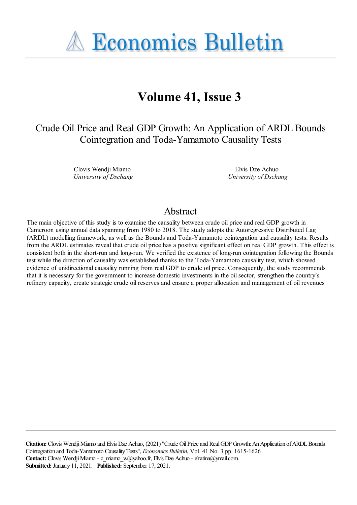**A Economics Bulletin** 

# **Volume 41, Issue 3**

Crude Oil Price and Real GDP Growth: An Application of ARDL Bounds Cointegration and Toda-Yamamoto Causality Tests

> Clovis Wendji Miamo *University of Dschang*

Elvis Dze Achuo *University of Dschang*

### Abstract

The main objective of this study is to examine the causality between crude oil price and real GDP growth in Cameroon using annual data spanning from 1980 to 2018. The study adopts the Autoregressive Distributed Lag (ARDL) modelling framework, as well as the Bounds and Toda-Yamamoto cointegration and causality tests. Results from the ARDL estimates reveal that crude oil price has a positive significant effect on real GDP growth. This effect is consistent both in the short-run and long-run. We verified the existence of long-run cointegration following the Bounds test while the direction of causality was established thanks to the Toda-Yamamoto causality test, which showed evidence of unidirectional causality running from real GDP to crude oil price. Consequently, the study recommends that it is necessary for the government to increase domestic investments in the oil sector, strengthen the country's refinery capacity, create strategic crude oil reserves and ensure a proper allocation and management of oil revenues

**Citation:** Clovis WendjiMiamo and Elvis Dze Achuo, (2021) ''Crude OilPriceand RealGDP Growth:AnApplication ofARDLBounds Cointegration and Toda-Yamamoto CausalityTests'', *Economics Bulletin*, Vol. 41 No. 3 pp. 1615-1626 Contact: Clovis Wendji Miamo - c\_miamo\_w@yahoo.fr, Elvis Dze Achuo - elratina@ymail.com. **Submitted:** January 11, 2021. **Published:** September 17, 2021.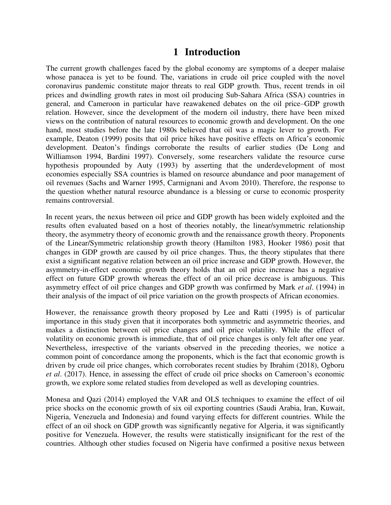# **1 Introduction**

The current growth challenges faced by the global economy are symptoms of a deeper malaise whose panacea is yet to be found. The, variations in crude oil price coupled with the novel coronavirus pandemic constitute major threats to real GDP growth. Thus, recent trends in oil prices and dwindling growth rates in most oil producing Sub-Sahara Africa (SSA) countries in general, and Cameroon in particular have reawakened debates on the oil price–GDP growth relation. However, since the development of the modern oil industry, there have been mixed views on the contribution of natural resources to economic growth and development. On the one hand, most studies before the late 1980s believed that oil was a magic lever to growth. For example, Deaton (1999) posits that oil price hikes have positive effects on Africa's economic development. Deaton's findings corroborate the results of earlier studies (De Long and Williamson 1994, Bardini 1997). Conversely, some researchers validate the resource curse hypothesis propounded by Auty (1993) by asserting that the underdevelopment of most economies especially SSA countries is blamed on resource abundance and poor management of oil revenues (Sachs and Warner 1995, Carmignani and Avom 2010). Therefore, the response to the question whether natural resource abundance is a blessing or curse to economic prosperity remains controversial.

In recent years, the nexus between oil price and GDP growth has been widely exploited and the results often evaluated based on a host of theories notably, the linear/symmetric relationship theory, the asymmetry theory of economic growth and the renaissance growth theory. Proponents of the Linear/Symmetric relationship growth theory (Hamilton 1983, Hooker 1986) posit that changes in GDP growth are caused by oil price changes. Thus, the theory stipulates that there exist a significant negative relation between an oil price increase and GDP growth. However, the asymmetry-in-effect economic growth theory holds that an oil price increase has a negative effect on future GDP growth whereas the effect of an oil price decrease is ambiguous. This asymmetry effect of oil price changes and GDP growth was confirmed by Mark *et al*. (1994) in their analysis of the impact of oil price variation on the growth prospects of African economies.

However, the renaissance growth theory proposed by Lee and Ratti (1995) is of particular importance in this study given that it incorporates both symmetric and asymmetric theories, and makes a distinction between oil price changes and oil price volatility. While the effect of volatility on economic growth is immediate, that of oil price changes is only felt after one year. Nevertheless, irrespective of the variants observed in the preceding theories, we notice a common point of concordance among the proponents, which is the fact that economic growth is driven by crude oil price changes, which corroborates recent studies by Ibrahim (2018), Ogboru *et al*. (2017). Hence, in assessing the effect of crude oil price shocks on Cameroon's economic growth, we explore some related studies from developed as well as developing countries.

Monesa and Qazi (2014) employed the VAR and OLS techniques to examine the effect of oil price shocks on the economic growth of six oil exporting countries (Saudi Arabia, Iran, Kuwait, Nigeria, Venezuela and Indonesia) and found varying effects for different countries. While the effect of an oil shock on GDP growth was significantly negative for Algeria, it was significantly positive for Venezuela. However, the results were statistically insignificant for the rest of the countries. Although other studies focused on Nigeria have confirmed a positive nexus between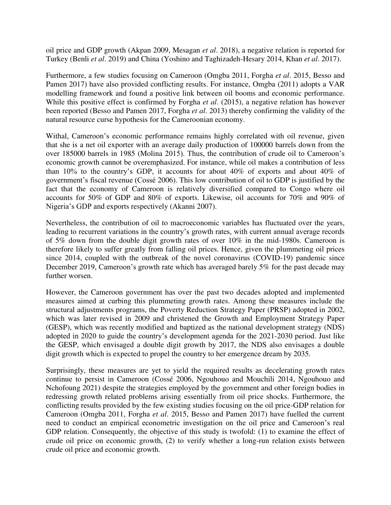oil price and GDP growth (Akpan 2009, Mesagan *et al*. 2018), a negative relation is reported for Turkey (Benli *et al*. 2019) and China (Yoshino and Taghizadeh-Hesary 2014, Khan *et al*. 2017).

Furthermore, a few studies focusing on Cameroon (Omgba 2011, Forgha *et al*. 2015, Besso and Pamen 2017) have also provided conflicting results. For instance, Omgba (2011) adopts a VAR modelling framework and found a positive link between oil booms and economic performance. While this positive effect is confirmed by Forgha *et al*. (2015), a negative relation has however been reported (Besso and Pamen 2017, Forgha *et al*. 2013) thereby confirming the validity of the natural resource curse hypothesis for the Cameroonian economy.

Withal, Cameroon's economic performance remains highly correlated with oil revenue, given that she is a net oil exporter with an average daily production of 100000 barrels down from the over 185000 barrels in 1985 (Molina 2015). Thus, the contribution of crude oil to Cameroon's economic growth cannot be overemphasized. For instance, while oil makes a contribution of less than 10% to the country's GDP, it accounts for about 40% of exports and about 40% of government's fiscal revenue (Cossé 2006). This low contribution of oil to GDP is justified by the fact that the economy of Cameroon is relatively diversified compared to Congo where oil accounts for 50% of GDP and 80% of exports. Likewise, oil accounts for 70% and 90% of Nigeria's GDP and exports respectively (Akanni 2007).

Nevertheless, the contribution of oil to macroeconomic variables has fluctuated over the years, leading to recurrent variations in the country's growth rates, with current annual average records of 5% down from the double digit growth rates of over 10% in the mid-1980s. Cameroon is therefore likely to suffer greatly from falling oil prices. Hence, given the plummeting oil prices since 2014, coupled with the outbreak of the novel coronavirus (COVID-19) pandemic since December 2019, Cameroon's growth rate which has averaged barely 5% for the past decade may further worsen.

However, the Cameroon government has over the past two decades adopted and implemented measures aimed at curbing this plummeting growth rates. Among these measures include the structural adjustments programs, the Poverty Reduction Strategy Paper (PRSP) adopted in 2002, which was later revised in 2009 and christened the Growth and Employment Strategy Paper (GESP), which was recently modified and baptized as the national development strategy (NDS) adopted in 2020 to guide the country's development agenda for the 2021-2030 period. Just like the GESP, which envisaged a double digit growth by 2017, the NDS also envisages a double digit growth which is expected to propel the country to her emergence dream by 2035.

Surprisingly, these measures are yet to yield the required results as decelerating growth rates continue to persist in Cameroon (Cossé 2006, Ngouhouo and Mouchili 2014, Ngouhouo and Nchofoung 2021) despite the strategies employed by the government and other foreign bodies in redressing growth related problems arising essentially from oil price shocks. Furthermore, the conflicting results provided by the few existing studies focusing on the oil price-GDP relation for Cameroon (Omgba 2011, Forgha *et al*. 2015, Besso and Pamen 2017) have fuelled the current need to conduct an empirical econometric investigation on the oil price and Cameroon's real GDP relation. Consequently, the objective of this study is twofold: (1) to examine the effect of crude oil price on economic growth, (2) to verify whether a long-run relation exists between crude oil price and economic growth.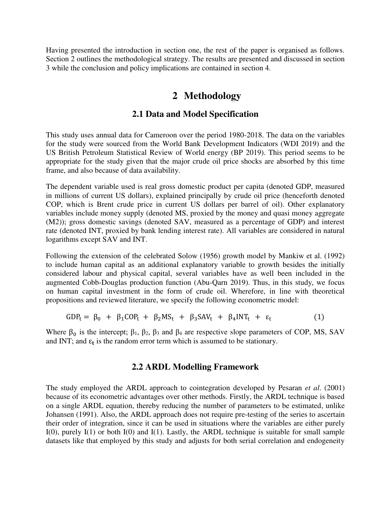Having presented the introduction in section one, the rest of the paper is organised as follows. Section 2 outlines the methodological strategy. The results are presented and discussed in section 3 while the conclusion and policy implications are contained in section 4.

## **2 Methodology**

#### **2.1 Data and Model Specification**

This study uses annual data for Cameroon over the period 1980-2018. The data on the variables for the study were sourced from the World Bank Development Indicators (WDI 2019) and the US British Petroleum Statistical Review of World energy (BP 2019). This period seems to be appropriate for the study given that the major crude oil price shocks are absorbed by this time frame, and also because of data availability.

The dependent variable used is real gross domestic product per capita (denoted GDP, measured in millions of current US dollars), explained principally by crude oil price (henceforth denoted COP, which is Brent crude price in current US dollars per barrel of oil). Other explanatory variables include money supply (denoted MS, proxied by the money and quasi money aggregate (M2)); gross domestic savings (denoted SAV, measured as a percentage of GDP) and interest rate (denoted INT, proxied by bank lending interest rate). All variables are considered in natural logarithms except SAV and INT.

Following the extension of the celebrated Solow (1956) growth model by Mankiw et al. (1992) to include human capital as an additional explanatory variable to growth besides the initially considered labour and physical capital, several variables have as well been included in the augmented Cobb-Douglas production function (Abu-Qarn 2019). Thus, in this study, we focus on human capital investment in the form of crude oil. Wherefore, in line with theoretical propositions and reviewed literature, we specify the following econometric model:

$$
GDP_t = \beta_0 + \beta_1 COP_t + \beta_2 MS_t + \beta_3 SAV_t + \beta_4 INT_t + \varepsilon_t \tag{1}
$$

Where  $\beta_0$  is the intercept;  $\beta_1$ ,  $\beta_2$ ,  $\beta_3$  and  $\beta_4$  are respective slope parameters of COP, MS, SAV and INT; and  $\varepsilon_t$  is the random error term which is assumed to be stationary.

#### **2.2 ARDL Modelling Framework**

The study employed the ARDL approach to cointegration developed by Pesaran *et al*. (2001) because of its econometric advantages over other methods. Firstly, the ARDL technique is based on a single ARDL equation, thereby reducing the number of parameters to be estimated, unlike Johansen (1991). Also, the ARDL approach does not require pre-testing of the series to ascertain their order of integration, since it can be used in situations where the variables are either purely  $I(0)$ , purely  $I(1)$  or both  $I(0)$  and  $I(1)$ . Lastly, the ARDL technique is suitable for small sample datasets like that employed by this study and adjusts for both serial correlation and endogeneity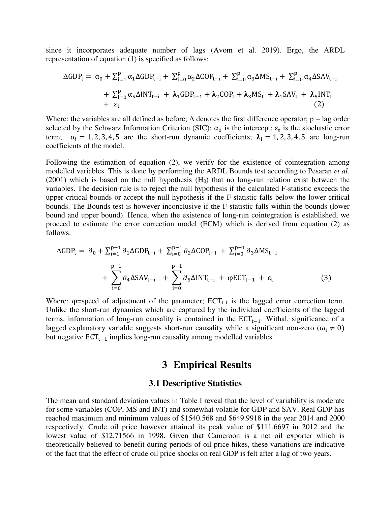since it incorporates adequate number of lags (Avom et al. 2019). Ergo, the ARDL representation of equation (1) is specified as follows:

$$
\Delta GDP_t = \alpha_0 + \sum_{i=1}^p \alpha_1 \Delta GDP_{t-i} + \sum_{i=0}^p \alpha_2 \Delta COP_{t-i} + \sum_{i=0}^p \alpha_3 \Delta MS_{t-i} + \sum_{i=0}^p \alpha_4 \Delta SAV_{t-i} + \sum_{i=0}^p \alpha_5 \Delta INT_{t-i} + \lambda_1 GDP_{t-1} + \lambda_2 COP_t + \lambda_3 MS_t + \lambda_4 SAV_t + \lambda_5 INT_t + \epsilon_t
$$
\n(2)

Where: the variables are all defined as before;  $\Delta$  denotes the first difference operator;  $p = lag$  order selected by the Schwarz Information Criterion (SIC);  $\alpha_0$  is the intercept;  $\varepsilon_t$  is the stochastic error term;  $\alpha_i = 1, 2, 3, 4, 5$  are the short-run dynamic coefficients;  $\lambda_i = 1, 2, 3, 4, 5$  are long-run coefficients of the model.

Following the estimation of equation (2), we verify for the existence of cointegration among modelled variables. This is done by performing the ARDL Bounds test according to Pesaran *et al*.  $(2001)$  which is based on the null hypothesis  $(H<sub>0</sub>)$  that no long-run relation exist between the variables. The decision rule is to reject the null hypothesis if the calculated F-statistic exceeds the upper critical bounds or accept the null hypothesis if the F-statistic falls below the lower critical bounds. The Bounds test is however inconclusive if the F-statistic falls within the bounds (lower bound and upper bound). Hence, when the existence of long-run cointegration is established, we proceed to estimate the error correction model (ECM) which is derived from equation (2) as follows:

$$
\Delta GDP_{t} = \partial_{0} + \sum_{i=1}^{p-1} \partial_{1} \Delta GDP_{t-i} + \sum_{i=0}^{p-1} \partial_{2} \Delta COP_{t-1} + \sum_{i=0}^{p-1} \partial_{3} \Delta MS_{t-1} + \sum_{i=0}^{p-1} \partial_{4} \Delta SAV_{t-i} + \sum_{i=0}^{p-1} \partial_{5} \Delta INT_{t-i} + \varphi ECT_{t-1} + \varepsilon_{t}
$$
\n(3)

Where:  $\varphi$ =speed of adjustment of the parameter;  $\text{ECT}_{t-1}$  is the lagged error correction term. Unlike the short-run dynamics which are captured by the individual coefficients of the lagged terms, information of long-run causality is contained in the  $ECT_{t-1}$ . Withal, significance of a lagged explanatory variable suggests short-run causality while a significant non-zero ( $\omega_i \neq 0$ ) but negative  $ECT_{t-1}$  implies long-run causality among modelled variables.

### **3 Empirical Results**

#### **3.1 Descriptive Statistics**

The mean and standard deviation values in Table I reveal that the level of variability is moderate for some variables (COP, MS and INT) and somewhat volatile for GDP and SAV. Real GDP has reached maximum and minimum values of \$1540.568 and \$649.9918 in the year 2014 and 2000 respectively. Crude oil price however attained its peak value of \$111.6697 in 2012 and the lowest value of \$12.71566 in 1998. Given that Cameroon is a net oil exporter which is theoretically believed to benefit during periods of oil price hikes, these variations are indicative of the fact that the effect of crude oil price shocks on real GDP is felt after a lag of two years.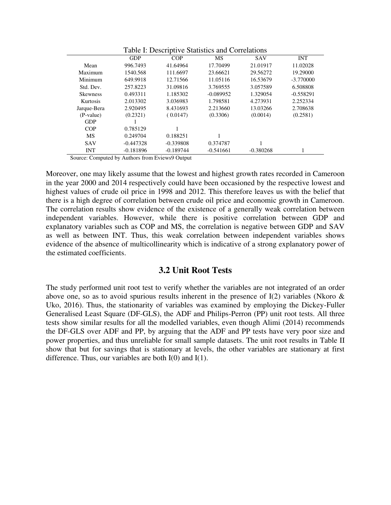|                 |             | I avie I. Descriptive Statistics and Correlations |             |             |             |
|-----------------|-------------|---------------------------------------------------|-------------|-------------|-------------|
|                 | <b>GDP</b>  | COP                                               | MS          | <b>SAV</b>  | <b>INT</b>  |
| Mean            | 996.7493    | 41.64964                                          | 17.70499    | 21.01917    | 11.02028    |
| Maximum         | 1540.568    | 111.6697                                          | 23.66621    | 29.56272    | 19.29000    |
| Minimum         | 649.9918    | 12.71566                                          | 11.05116    | 16.53679    | $-3.770000$ |
| Std. Dev.       | 257.8223    | 31.09816                                          | 3.769555    | 3.057589    | 6.508808    |
| <b>Skewness</b> | 0.493311    | 1.185302                                          | $-0.089952$ | 1.329054    | $-0.558291$ |
| Kurtosis        | 2.013302    | 3.036983                                          | 1.798581    | 4.273931    | 2.252334    |
| Jarque-Bera     | 2.920495    | 8.431693                                          | 2.213660    | 13.03266    | 2.708638    |
| (P-value)       | (0.2321)    | (0.0147)                                          | (0.3306)    | (0.0014)    | (0.2581)    |
| <b>GDP</b>      |             |                                                   |             |             |             |
| <b>COP</b>      | 0.785129    |                                                   |             |             |             |
| MS              | 0.249704    | 0.188251                                          | 1           |             |             |
| <b>SAV</b>      | $-0.447328$ | $-0.339808$                                       | 0.374787    |             |             |
| <b>INT</b>      | $-0.181896$ | $-0.189744$                                       | $-0.541661$ | $-0.380268$ |             |
|                 |             |                                                   |             |             |             |

Table I: Descriptive Statistics and Correlations

Source: Computed by Authors from Eviews9 Output

Moreover, one may likely assume that the lowest and highest growth rates recorded in Cameroon in the year 2000 and 2014 respectively could have been occasioned by the respective lowest and highest values of crude oil price in 1998 and 2012. This therefore leaves us with the belief that there is a high degree of correlation between crude oil price and economic growth in Cameroon. The correlation results show evidence of the existence of a generally weak correlation between independent variables. However, while there is positive correlation between GDP and explanatory variables such as COP and MS, the correlation is negative between GDP and SAV as well as between INT. Thus, this weak correlation between independent variables shows evidence of the absence of multicollinearity which is indicative of a strong explanatory power of the estimated coefficients.

#### **3.2 Unit Root Tests**

The study performed unit root test to verify whether the variables are not integrated of an order above one, so as to avoid spurious results inherent in the presence of  $I(2)$  variables (Nkoro  $\&$ Uko, 2016). Thus, the stationarity of variables was examined by employing the Dickey-Fuller Generalised Least Square (DF-GLS), the ADF and Philips-Perron (PP) unit root tests. All three tests show similar results for all the modelled variables, even though Alimi (2014) recommends the DF-GLS over ADF and PP, by arguing that the ADF and PP tests have very poor size and power properties, and thus unreliable for small sample datasets. The unit root results in Table II show that but for savings that is stationary at levels, the other variables are stationary at first difference. Thus, our variables are both  $I(0)$  and  $I(1)$ .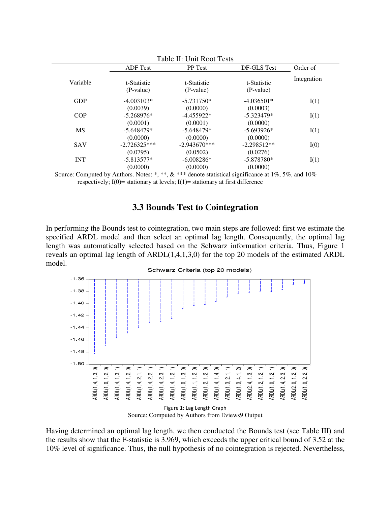| Table II: Unit Root Tests |                          |                          |                            |             |
|---------------------------|--------------------------|--------------------------|----------------------------|-------------|
|                           | <b>ADF</b> Test          | PP Test                  | DF-GLS Test                | Order of    |
| Variable                  | t-Statistic<br>(P-value) | t-Statistic<br>(P-value) | t-Statistic<br>$(P-value)$ | Integration |
| <b>GDP</b>                | $-4.003103*$             | $-5.731750*$             | $-4.036501*$               | I(1)        |
|                           | (0.0039)                 | (0.0000)                 | (0.0003)                   |             |
| <b>COP</b>                | $-5.268976*$             | $-4.455922*$             | $-5.323479*$               | I(1)        |
|                           | (0.0001)                 | (0.0001)                 | (0.0000)                   |             |
| <b>MS</b>                 | $-5.648479*$             | $-5.648479*$             | $-5.693926*$               | I(1)        |
|                           | (0.0000)                 | (0.0000)                 | (0.0000)                   |             |
| <b>SAV</b>                | $-2.726325***$           | $-2.943670***$           | $-2.298512**$              | I(0)        |
|                           | (0.0795)                 | (0.0502)                 | (0.0276)                   |             |
| <b>INT</b>                | $-5.813577*$             | $-6.008286*$             | $-5.878780*$               | I(1)        |
|                           | (0.0000)                 | (0.0000)                 | (0.0000)                   |             |

Source: Computed by Authors. Notes: \*, \*\*, & \*\*\* denote statistical significance at 1%, 5%, and 10% respectively;  $I(0)$  = stationary at levels;  $I(1)$  = stationary at first difference

### **3.3 Bounds Test to Cointegration**

In performing the Bounds test to cointegration, two main steps are followed: first we estimate the specified ARDL model and then select an optimal lag length. Consequently, the optimal lag length was automatically selected based on the Schwarz information criteria. Thus, Figure 1 reveals an optimal lag length of ARDL(1,4,1,3,0) for the top 20 models of the estimated ARDL model.



Having determined an optimal lag length, we then conducted the Bounds test (see Table III) and the results show that the F-statistic is 3.969, which exceeds the upper critical bound of 3.52 at the 10% level of significance. Thus, the null hypothesis of no cointegration is rejected. Nevertheless,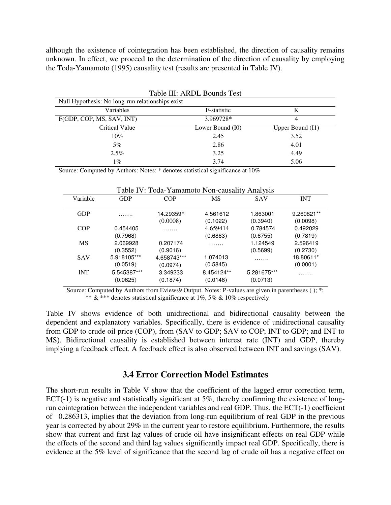although the existence of cointegration has been established, the direction of causality remains unknown. In effect, we proceed to the determination of the direction of causality by employing the Toda-Yamamoto (1995) causality test (results are presented in Table IV).

| Table III: ARDL Bounds Test                      |                  |                    |  |  |  |
|--------------------------------------------------|------------------|--------------------|--|--|--|
| Null Hypothesis: No long-run relationships exist |                  |                    |  |  |  |
| Variables                                        | F-statistic      | K                  |  |  |  |
| F(GDP, COP, MS, SAV, INT)                        | 3.969728*        | 4                  |  |  |  |
| <b>Critical Value</b>                            | Lower Bound (I0) | Upper Bound $(I1)$ |  |  |  |
| 10%                                              | 2.45             | 3.52               |  |  |  |
| 5%                                               | 2.86             | 4.01               |  |  |  |
| $2.5\%$                                          | 3.25             | 4.49               |  |  |  |
| 1%                                               | 3.74             | 5.06               |  |  |  |

Source: Computed by Authors: Notes: \* denotes statistical significance at 10%

| Table IV: Toda-Yamamoto Non-causality Analysis |             |             |            |             |            |
|------------------------------------------------|-------------|-------------|------------|-------------|------------|
| Variable                                       | <b>GDP</b>  | <b>COP</b>  | MS         | <b>SAV</b>  | <b>INT</b> |
| <b>GDP</b>                                     | .           | 14.29359*   | 4.561612   | 1.863001    | 9.260821** |
|                                                |             | (0.0008)    | (0.1022)   | (0.3940)    | (0.0098)   |
| COP                                            | 0.454405    | .           | 4.659414   | 0.784574    | 0.492029   |
|                                                | (0.7968)    |             | (0.6863)   | (0.6755)    | (0.7819)   |
| <b>MS</b>                                      | 2.069928    | 0.207174    | .          | 1.124549    | 2.596419   |
|                                                | (0.3552)    | (0.9016)    |            | (0.5699)    | (0.2730)   |
| <b>SAV</b>                                     | 5.918105*** | 4.658743*** | 1.074013   | .           | 18.80611*  |
|                                                | (0.0519)    | (0.0974)    | (0.5845)   |             | (0.0001)   |
| <b>INT</b>                                     | 5.545387*** | 3.349233    | 8.454124** | 5.281675*** | . <b>.</b> |
|                                                | (0.0625)    | (0.1874)    | (0.0146)   | (0.0713)    |            |

Source: Computed by Authors from Eviews9 Output. Notes: P-values are given in parentheses ( ); \*; \*\*  $&$  \*\*\* denotes statistical significance at 1%, 5% & 10% respectively

Table IV shows evidence of both unidirectional and bidirectional causality between the dependent and explanatory variables. Specifically, there is evidence of unidirectional causality from GDP to crude oil price (COP), from (SAV to GDP; SAV to COP; INT to GDP; and INT to MS). Bidirectional causality is established between interest rate (INT) and GDP, thereby implying a feedback effect. A feedback effect is also observed between INT and savings (SAV).

#### **3.4 Error Correction Model Estimates**

The short-run results in Table V show that the coefficient of the lagged error correction term, ECT(-1) is negative and statistically significant at 5%, thereby confirming the existence of longrun cointegration between the independent variables and real GDP. Thus, the ECT(-1) coefficient of –0.286313, implies that the deviation from long-run equilibrium of real GDP in the previous year is corrected by about 29% in the current year to restore equilibrium. Furthermore, the results show that current and first lag values of crude oil have insignificant effects on real GDP while the effects of the second and third lag values significantly impact real GDP. Specifically, there is evidence at the 5% level of significance that the second lag of crude oil has a negative effect on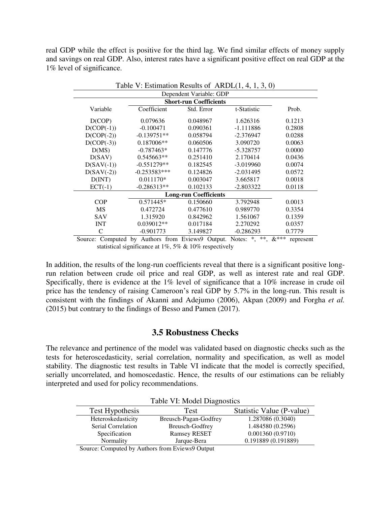real GDP while the effect is positive for the third lag. We find similar effects of money supply and savings on real GDP. Also, interest rates have a significant positive effect on real GDP at the 1% level of significance.

| $\ldots$ communion recognition of $\ldots$ and $\ldots$<br>Dependent Variable: GDP |                |            |             |        |  |
|------------------------------------------------------------------------------------|----------------|------------|-------------|--------|--|
| <b>Short-run Coefficients</b>                                                      |                |            |             |        |  |
| Variable                                                                           | Coefficient    | Std. Error | t-Statistic | Prob.  |  |
| D(COP)                                                                             | 0.079636       | 0.048967   | 1.626316    | 0.1213 |  |
| $D(COP(-1))$                                                                       | $-0.100471$    | 0.090361   | $-1.111886$ | 0.2808 |  |
| $D(COP(-2))$                                                                       | $-0.139751**$  | 0.058794   | $-2.376947$ | 0.0288 |  |
| $D(COP(-3))$                                                                       | $0.187006**$   | 0.060506   | 3.090720    | 0.0063 |  |
| D(MS)                                                                              | $-0.787463*$   | 0.147776   | $-5.328757$ | 0.0000 |  |
| D(SAV)                                                                             | 0.545663**     | 0.251410   | 2.170414    | 0.0436 |  |
| $D(SAV(-1))$                                                                       | $-0.551279**$  | 0.182545   | $-3.019960$ | 0.0074 |  |
| $D(SAV(-2))$                                                                       | $-0.253583***$ | 0.124826   | $-2.031495$ | 0.0572 |  |
| D(INT)                                                                             | $0.011170*$    | 0.003047   | 3.665817    | 0.0018 |  |
| $ECT(-1)$                                                                          | $-0.286313**$  | 0.102133   | $-2.803322$ | 0.0118 |  |
| <b>Long-run Coefficients</b>                                                       |                |            |             |        |  |
| <b>COP</b>                                                                         | $0.571445*$    | 0.150660   | 3.792948    | 0.0013 |  |
| <b>MS</b>                                                                          | 0.472724       | 0.477610   | 0.989770    | 0.3354 |  |
| <b>SAV</b>                                                                         | 1.315920       | 0.842962   | 1.561067    | 0.1359 |  |
| <b>INT</b>                                                                         | $0.039012**$   | 0.017184   | 2.270292    | 0.0357 |  |
| C                                                                                  | $-0.901773$    | 3.149827   | $-0.286293$ | 0.7779 |  |

Table V: Estimation Results of ARDL $(1, 4, 1, 3, 0)$ 

Source: Computed by Authors from Eviews9 Output. Notes: \*, \*\*, &\*\*\* represent statistical significance at 1%, 5% & 10% respectively

In addition, the results of the long-run coefficients reveal that there is a significant positive longrun relation between crude oil price and real GDP, as well as interest rate and real GDP. Specifically, there is evidence at the 1% level of significance that a 10% increase in crude oil price has the tendency of raising Cameroon's real GDP by 5.7% in the long-run. This result is consistent with the findings of Akanni and Adejumo (2006), Akpan (2009) and Forgha *et al.* (2015) but contrary to the findings of Besso and Pamen (2017).

#### **3.5 Robustness Checks**

The relevance and pertinence of the model was validated based on diagnostic checks such as the tests for heteroscedasticity, serial correlation, normality and specification, as well as model stability. The diagnostic test results in Table VI indicate that the model is correctly specified, serially uncorrelated, and homoscedastic. Hence, the results of our estimations can be reliably interpreted and used for policy recommendations.

| Tuble T. Mouch Diagnostics |                           |  |  |  |
|----------------------------|---------------------------|--|--|--|
| Test                       | Statistic Value (P-value) |  |  |  |
| Breusch-Pagan-Godfrey      | 1.287086 (0.3040)         |  |  |  |
| Breusch-Godfrey            | 1.484580 (0.2596)         |  |  |  |
| <b>Ramsey RESET</b>        | 0.001360(0.9710)          |  |  |  |
| Jarque-Bera                | 0.191889 (0.191889)       |  |  |  |
|                            |                           |  |  |  |

Table VI: Model Diagnostics

Source: Computed by Authors from Eviews9 Output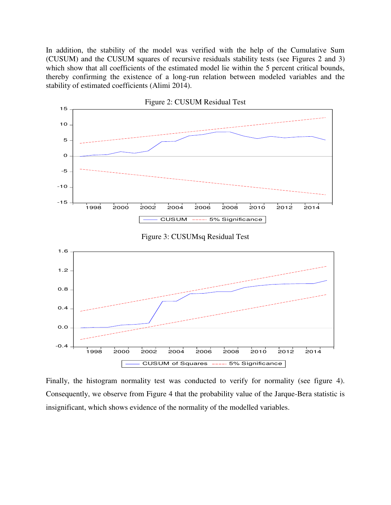In addition, the stability of the model was verified with the help of the Cumulative Sum (CUSUM) and the CUSUM squares of recursive residuals stability tests (see Figures 2 and 3) which show that all coefficients of the estimated model lie within the 5 percent critical bounds, thereby confirming the existence of a long-run relation between modeled variables and the stability of estimated coefficients (Alimi 2014).



Finally, the histogram normality test was conducted to verify for normality (see figure 4). Consequently, we observe from Figure 4 that the probability value of the Jarque-Bera statistic is insignificant, which shows evidence of the normality of the modelled variables.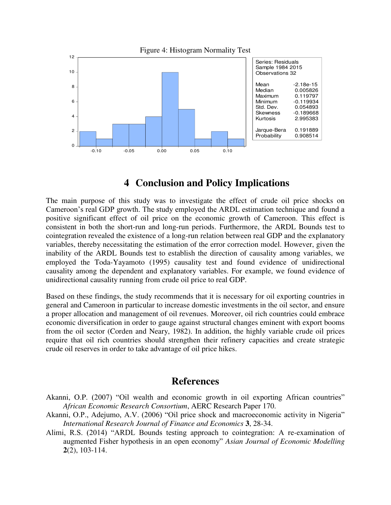

## **4 Conclusion and Policy Implications**

The main purpose of this study was to investigate the effect of crude oil price shocks on Cameroon's real GDP growth. The study employed the ARDL estimation technique and found a positive significant effect of oil price on the economic growth of Cameroon. This effect is consistent in both the short-run and long-run periods. Furthermore, the ARDL Bounds test to cointegration revealed the existence of a long-run relation between real GDP and the explanatory variables, thereby necessitating the estimation of the error correction model. However, given the inability of the ARDL Bounds test to establish the direction of causality among variables, we employed the Toda-Yayamoto (1995) causality test and found evidence of unidirectional causality among the dependent and explanatory variables. For example, we found evidence of unidirectional causality running from crude oil price to real GDP.

Based on these findings, the study recommends that it is necessary for oil exporting countries in general and Cameroon in particular to increase domestic investments in the oil sector, and ensure a proper allocation and management of oil revenues. Moreover, oil rich countries could embrace economic diversification in order to gauge against structural changes eminent with export booms from the oil sector (Corden and Neary, 1982). In addition, the highly variable crude oil prices require that oil rich countries should strengthen their refinery capacities and create strategic crude oil reserves in order to take advantage of oil price hikes.

### **References**

- Akanni, O.P. (2007) "Oil wealth and economic growth in oil exporting African countries" *African Economic Research Consortium*, AERC Research Paper 170.
- Akanni, O.P., Adejumo, A.V. (2006) "Oil price shock and macroeconomic activity in Nigeria" *International Research Journal of Finance and Economics* **3**, 28-34.
- Alimi, R.S. (2014) "ARDL Bounds testing approach to cointegration: A re-examination of augmented Fisher hypothesis in an open economy" *Asian Journal of Economic Modelling* **2**(2), 103-114.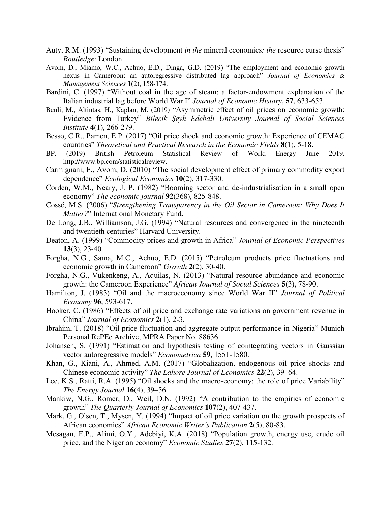- Auty, R.M. (1993) "Sustaining development *in the* mineral economies*: the* resource curse thesis" *Routledge*: London.
- Avom, D., Miamo, W.C., Achuo, E.D., Dinga, G.D. (2019) "The employment and economic growth nexus in Cameroon: an autoregressive distributed lag approach" *Journal of Economics & Management Sciences* **1**(2), 158-174.
- Bardini, C. (1997) "Without coal in the age of steam: a factor-endowment explanation of the Italian industrial lag before World War I" *Journal of Economic History*, **57**, 633-653.
- Benli, M., Altintas, H., Kaplan, M. (2019) "Asymmetric effect of oil prices on economic growth: Evidence from Turkey" *Bilecik Şeyh Edebali University Journal of Social Sciences Institute* **4**(1), 266-279.
- Besso, C.R., Pamen, E.P. (2017) "Oil price shock and economic growth: Experience of CEMAC countries" *Theoretical and Practical Research in the Economic Fields* **8**(1), 5-18.
- BP. (2019) British Petroleum Statistical Review of World Energy June 2019. [http://www.bp.com/statisticalreview.](http://www.bp.com/statisticalreview)
- Carmignani, F., Avom, D. (2010) "The social development effect of primary commodity export dependence" *Ecological Economics* **10**(2), 317-330.
- Corden, W.M., Neary, J. P. (1982) "Booming sector and de-industrialisation in a small open economy" *The economic journal* **92**(368), 825-848.
- Cossé, M.S. (2006) "*Strengthening Transparency in the Oil Sector in Cameroon: Why Does It Matter?*" International Monetary Fund.
- De Long, J.B., Williamson, J.G. (1994) "Natural resources and convergence in the nineteenth and twentieth centuries" Harvard University.
- Deaton, A. (1999) "Commodity prices and growth in Africa" *Journal of Economic Perspectives* **13**(3), 23-40.
- Forgha, N.G., Sama, M.C., Achuo, E.D. (2015) "Petroleum products price fluctuations and economic growth in Cameroon" *Growth* **2**(2), 30-40.
- Forgha, N.G., Vukenkeng, A., Aquilas, N. (2013) "Natural resource abundance and economic growth: the Cameroon Experience" *African Journal of Social Sciences* **5**(3), 78-90.
- Hamilton, J. (1983) "Oil and the macroeconomy since World War II" *Journal of Political Economy* **96**, 593-617.
- Hooker, C. (1986) "Effects of oil price and exchange rate variations on government revenue in China" *Journal of Economics* **2**(1), 2-3.
- Ibrahim, T. (2018) "Oil price fluctuation and aggregate output performance in Nigeria" Munich Personal RePEc Archive, MPRA Paper No. 88636.
- Johansen, S. (1991) "Estimation and hypothesis testing of cointegrating vectors in Gaussian vector autoregressive models" *Econometrica* **59**, 1551-1580.
- Khan, G., Kiani, A., Ahmed, A.M. (2017) "Globalization, endogenous oil price shocks and Chinese economic activity" *The Lahore Journal of Economics* **22**(2), 39–64.
- Lee, K.S., Ratti, R.A. (1995) "Oil shocks and the macro-economy: the role of price Variability" *The Energy Journal* **16**(4), 39–56.
- Mankiw, N.G., Romer, D., Weil, D.N. (1992) "A contribution to the empirics of economic growth" *The Quarterly Journal of Economics* **107**(2), 407-437.
- Mark, G., Olsen, T., Mysen, Y. (1994) "Impact of oil price variation on the growth prospects of African economies" *African Economic Writer's Publication* **2**(5), 80-83.
- Mesagan, E.P., Alimi, O.Y., Adebiyi, K.A. (2018) "Population growth, energy use, crude oil price, and the Nigerian economy" *Economic Studies* **27**(2), 115-132.